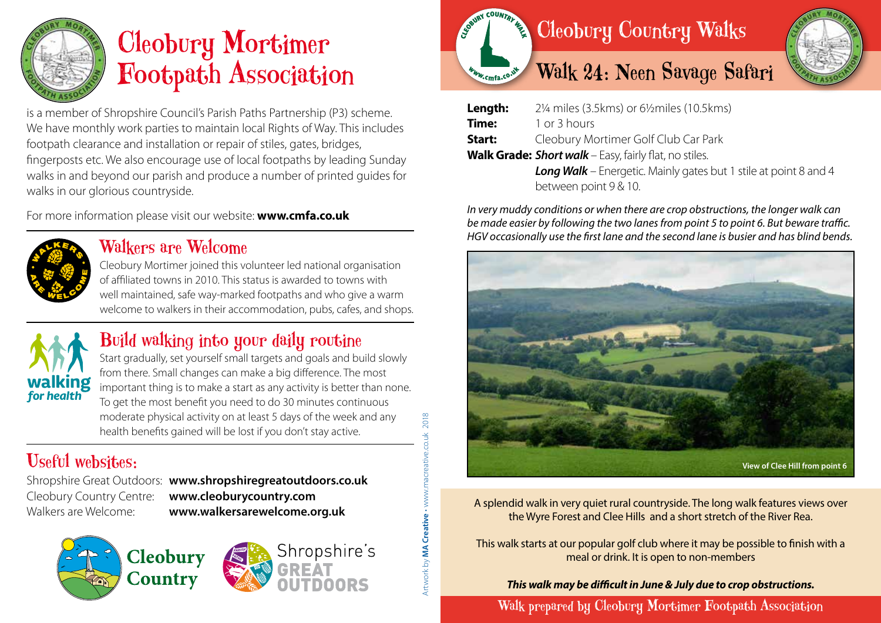

# Cleobury Mortimer Footpath Association

is a member of Shropshire Council's Parish Paths Partnership (P3) scheme. We have monthly work parties to maintain local Rights of Way. This includes footpath clearance and installation or repair of stiles, gates, bridges, fingerposts etc. We also encourage use of local footpaths by leading Sunday walks in and beyond our parish and produce a number of printed guides for walks in our glorious countryside.

For more information please visit our website: **www.cmfa.co.uk**



#### Walkers are Welcome

Cleobury Mortimer joined this volunteer led national organisation of affiliated towns in 2010. This status is awarded to towns with well maintained, safe way-marked footpaths and who give a warm welcome to walkers in their accommodation, pubs, cafes, and shops.



### Build walking into your daily routine

Start gradually, set yourself small targets and goals and build slowly from there. Small changes can make a big difference. The most important thing is to make a start as any activity is better than none. To get the most benefit you need to do 30 minutes continuous moderate physical activity on at least 5 days of the week and any health benefits gained will be lost if you don't stay active.

# Useful websites:

Shropshire Great Outdoors: **www.shropshiregreatoutdoors.co.uk**  Cleobury Country Centre: **www.cleoburycountry.com** Walkers are Welcome: **www.walkersarewelcome.org.uk**

Artwork by **MA Creative** • www.macreative.co.uk 2018

Artwork by **MA Creative** • www.m

2018







| Length: | 2¼ miles (3.5kms) or 6½ miles (10.5kms)                                 |
|---------|-------------------------------------------------------------------------|
| Time:   | 1 or 3 hours                                                            |
| Start:  | Cleobury Mortimer Golf Club Car Park                                    |
|         | <b>Walk Grade: Short walk</b> – Easy, fairly flat, no stiles.           |
|         | <b>Long Walk</b> – Energetic. Mainly gates but 1 stile at point 8 and 4 |
|         | between point 9 & 10.                                                   |

*In very muddy conditions or when there are crop obstructions, the longer walk can be made easier by following the two lanes from point 5 to point 6. But beware traffic. HGV occasionally use the first lane and the second lane is busier and has blind bends.* 



A splendid walk in very quiet rural countryside. The long walk features views over the Wyre Forest and Clee Hills and a short stretch of the River Rea.

This walk starts at our popular golf club where it may be possible to finish with a meal or drink. It is open to non-members

*This walk may be difficult in June & July due to crop obstructions.*

Walk prepared by Cleobury Mortimer Footpath Association